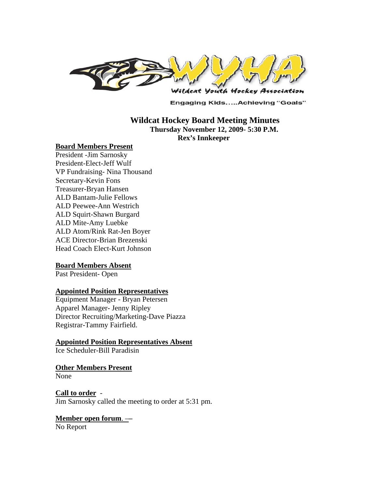

**Engaging Kids.....Achieving "Goals"** 

### **Wildcat Hockey Board Meeting Minutes Thursday November 12, 2009- 5:30 P.M. Rex's Innkeeper**

#### **Board Members Present**

President -Jim Sarnosky President-Elect-Jeff Wulf VP Fundraising- Nina Thousand Secretary-Kevin Fons Treasurer-Bryan Hansen ALD Bantam-Julie Fellows ALD Peewee-Ann Westrich ALD Squirt-Shawn Burgard ALD Mite-Amy Luebke ALD Atom/Rink Rat-Jen Boyer ACE Director-Brian Brezenski Head Coach Elect-Kurt Johnson

#### **Board Members Absent**

Past President- Open

#### **Appointed Position Representatives**

Equipment Manager - Bryan Petersen Apparel Manager- Jenny Ripley Director Recruiting/Marketing-Dave Piazza Registrar-Tammy Fairfield.

#### **Appointed Position Representatives Absent**

Ice Scheduler-Bill Paradisin

#### **Other Members Present**

None

#### **Call to order** -

Jim Sarnosky called the meeting to order at 5:31 pm.

# **Member open forum**. –**–**

No Report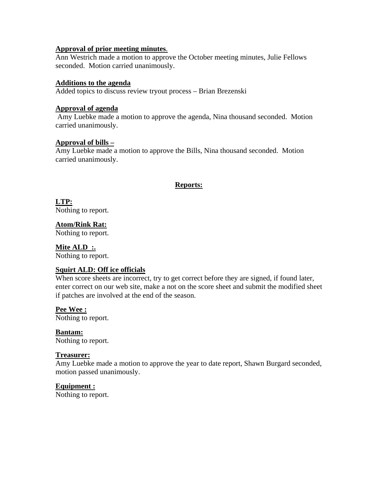### **Approval of prior meeting minutes**.

Ann Westrich made a motion to approve the October meeting minutes, Julie Fellows seconded. Motion carried unanimously.

### **Additions to the agenda**

Added topics to discuss review tryout process – Brian Brezenski

#### **Approval of agenda**

 Amy Luebke made a motion to approve the agenda, Nina thousand seconded. Motion carried unanimously.

### **Approval of bills –**

Amy Luebke made a motion to approve the Bills, Nina thousand seconded. Motion carried unanimously.

## **Reports:**

**LTP:**  Nothing to report.

**Atom/Rink Rat:** 

Nothing to report.

### **Mite ALD :.**

Nothing to report.

### **Squirt ALD: Off ice officials**

When score sheets are incorrect, try to get correct before they are signed, if found later, enter correct on our web site, make a not on the score sheet and submit the modified sheet if patches are involved at the end of the season.

**Pee Wee :** 

Nothing to report.

**Bantam:**  Nothing to report.

### **Treasurer:**

Amy Luebke made a motion to approve the year to date report, Shawn Burgard seconded, motion passed unanimously.

### **Equipment :**

Nothing to report.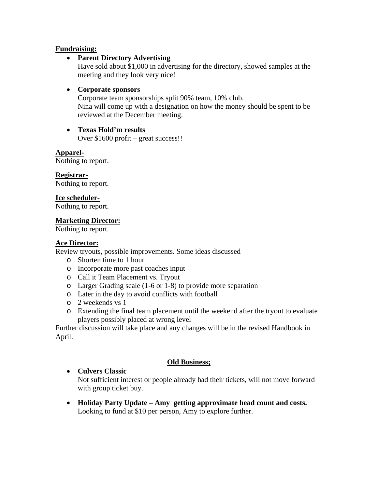## **Fundraising:**

## • **Parent Directory Advertising**

Have sold about \$1,000 in advertising for the directory, showed samples at the meeting and they look very nice!

## • **Corporate sponsors**

Corporate team sponsorships split 90% team, 10% club. Nina will come up with a designation on how the money should be spent to be reviewed at the December meeting.

• **Texas Hold'm results**  Over \$1600 profit – great success!!

**Apparel-**

Nothing to report.

**Registrar-**

Nothing to report.

### **Ice scheduler-**

Nothing to report.

### **Marketing Director:**

Nothing to report.

## **Ace Director:**

Review tryouts, possible improvements. Some ideas discussed

- o Shorten time to 1 hour
- o Incorporate more past coaches input
- o Call it Team Placement vs. Tryout
- o Larger Grading scale (1-6 or 1-8) to provide more separation
- o Later in the day to avoid conflicts with football
- o 2 weekends vs 1
- o Extending the final team placement until the weekend after the tryout to evaluate players possibly placed at wrong level

Further discussion will take place and any changes will be in the revised Handbook in April.

### **Old Business;**

• **Culvers Classic** 

Not sufficient interest or people already had their tickets, will not move forward with group ticket buy.

• **Holiday Party Update – Amy getting approximate head count and costs.**  Looking to fund at \$10 per person, Amy to explore further.